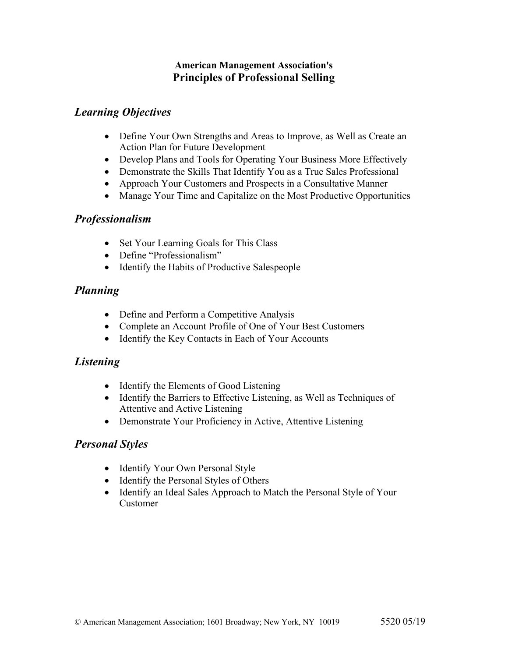#### **American Management Association's Principles of Professional Selling**

# *Learning Objectives*

- Define Your Own Strengths and Areas to Improve, as Well as Create an Action Plan for Future Development
- Develop Plans and Tools for Operating Your Business More Effectively
- Demonstrate the Skills That Identify You as a True Sales Professional
- Approach Your Customers and Prospects in a Consultative Manner
- Manage Your Time and Capitalize on the Most Productive Opportunities

### *Professionalism*

- Set Your Learning Goals for This Class
- Define "Professionalism"
- Identify the Habits of Productive Salespeople

# *Planning*

- Define and Perform a Competitive Analysis
- Complete an Account Profile of One of Your Best Customers
- Identify the Key Contacts in Each of Your Accounts

# *Listening*

- Identify the Elements of Good Listening
- Identify the Barriers to Effective Listening, as Well as Techniques of Attentive and Active Listening
- Demonstrate Your Proficiency in Active, Attentive Listening

# *Personal Styles*

- Identify Your Own Personal Style
- Identify the Personal Styles of Others
- Identify an Ideal Sales Approach to Match the Personal Style of Your Customer